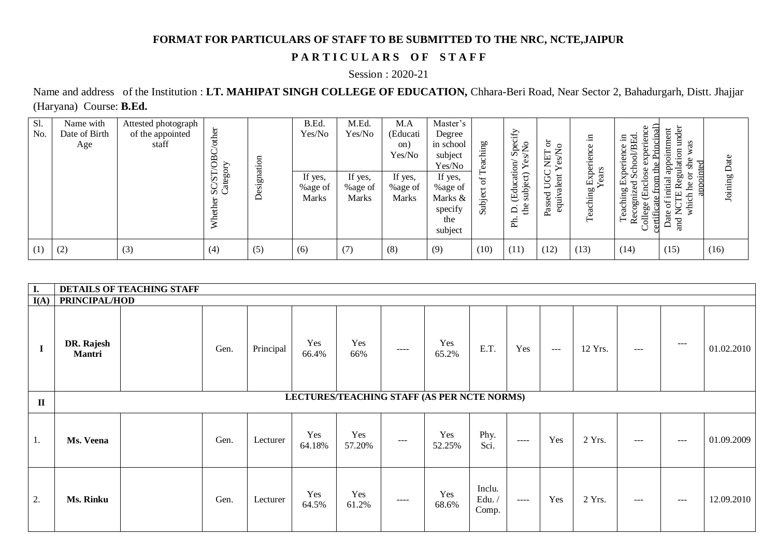## **FORMAT FOR PARTICULARS OF STAFF TO BE SUBMITTED TO THE NRC, NCTE,JAIPUR**

## PARTICULARS OF STAFF

## Session : 2020-21

Name and address of the Institution : **LT. MAHIPAT SINGH COLLEGE OF EDUCATION,** Chhara-Beri Road, Near Sector 2, Bahadurgarh, Distt. Jhajjar (Haryana) Course: **B.Ed.**

| Sl.<br>No. | Name with<br>Date of Birth<br>Age | Attested photograph<br>of the appointed<br>staff | other<br>$\mathcal{B}$<br>SC/ST/O<br>Category<br>5 <sub>T</sub><br>⋧ | esignation<br>≏ | B.Ed.<br>Yes/No<br>If yes,<br>%age of<br>Marks | M.Ed.<br>Yes/No<br>If yes,<br>%age of<br><b>Marks</b> | M.A<br>(Educati<br>on)<br>Yes/No<br>If yes,<br>%age of<br><b>Marks</b> | Master's<br>Degree<br>in school<br>subject<br>Yes/No<br>If yes,<br>%age of<br>Marks &<br>specify<br>the<br>subject | <b>eaching</b><br>ď<br>Subject | Specify<br>Ş<br>(Education/<br>$\widehat{\sigma}$<br>C<br>sub<br>£<br>$\Delta$<br>ਸ਼੍ਰ | ă<br>Ş<br>⊢<br>←<br>INEY<br>Yes/<br>valent<br>$\mathsf{r}$<br>$\succ$<br>P<br>equi<br>asse<br>≏ | $\Xi$<br>$\mathbf 0$<br>Experience<br>ear<br>Teaching | ⊆<br>ヮ<br>.⊟<br>inence<br>Я<br>Ŗ<br>ಕ<br>Expe<br>ত<br>£<br>71<br>ರ<br>Teaching<br>ecogni<br>ate<br>College<br>ertifi<br>$\approx$ | under<br>pintment<br>as<br>$\overline{5}$<br>nlati<br>÷e<br>аpр<br>ಸ<br>Le<br>$\bar{\Xi}$<br>出<br>which<br>đ<br>ž<br>Jate<br>and<br>$\sqcup$ | Date<br>Joining |
|------------|-----------------------------------|--------------------------------------------------|----------------------------------------------------------------------|-----------------|------------------------------------------------|-------------------------------------------------------|------------------------------------------------------------------------|--------------------------------------------------------------------------------------------------------------------|--------------------------------|----------------------------------------------------------------------------------------|-------------------------------------------------------------------------------------------------|-------------------------------------------------------|-----------------------------------------------------------------------------------------------------------------------------------|----------------------------------------------------------------------------------------------------------------------------------------------|-----------------|
| (1)        | (2)                               | (3)                                              | (4)                                                                  | (5)             | (6)                                            | (7)                                                   | (8)                                                                    | (9)                                                                                                                | (10)                           | (11)                                                                                   | (12)                                                                                            | (13)                                                  | (14)                                                                                                                              | (15)                                                                                                                                         | (16)            |

| I.           | <b>DETAILS OF TEACHING STAFF</b>            |  |      |           |               |               |       |               |                          |          |                   |         |       |                   |            |
|--------------|---------------------------------------------|--|------|-----------|---------------|---------------|-------|---------------|--------------------------|----------|-------------------|---------|-------|-------------------|------------|
| I(A)         | PRINCIPAL/HOD                               |  |      |           |               |               |       |               |                          |          |                   |         |       |                   |            |
| $\mathbf I$  | DR. Rajesh<br>Mantri                        |  | Gen. | Principal | Yes<br>66.4%  | Yes<br>66%    | $---$ | Yes<br>65.2%  | E.T.                     | Yes      | $\qquad \qquad -$ | 12 Yrs. | $---$ | $---$             | 01.02.2010 |
| $\mathbf{I}$ | LECTURES/TEACHING STAFF (AS PER NCTE NORMS) |  |      |           |               |               |       |               |                          |          |                   |         |       |                   |            |
| 1.           | Ms. Veena                                   |  | Gen. | Lecturer  | Yes<br>64.18% | Yes<br>57.20% | $---$ | Yes<br>52.25% | Phy.<br>Sci.             | $\cdots$ | Yes               | 2 Yrs.  | $---$ | $---$             | 01.09.2009 |
| 2.           | Ms. Rinku                                   |  | Gen. | Lecturer  | Yes<br>64.5%  | Yes<br>61.2%  | $---$ | Yes<br>68.6%  | Inclu.<br>Edu./<br>Comp. | $---$    | Yes               | 2 Yrs.  | $---$ | $\qquad \qquad -$ | 12.09.2010 |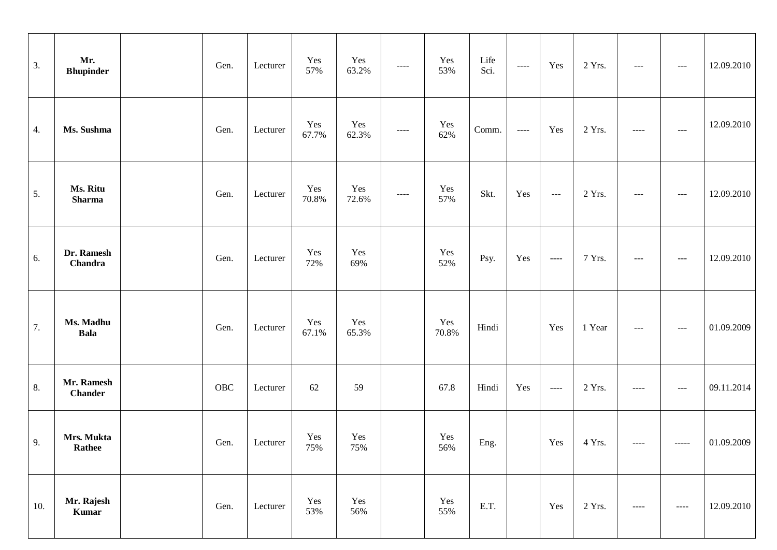| 3.  | Mr.<br><b>Bhupinder</b>      | Gen.        | Lecturer | Yes<br>57%   | Yes<br>63.2% | $\cdots$ | Yes<br>53%   | Life<br>Sci. | $\begin{array}{c} - - - - \end{array}$ | Yes                                         | 2 Yrs. | $---$                 | $--$                  | 12.09.2010 |
|-----|------------------------------|-------------|----------|--------------|--------------|----------|--------------|--------------|----------------------------------------|---------------------------------------------|--------|-----------------------|-----------------------|------------|
| 4.  | Ms. Sushma                   | Gen.        | Lecturer | Yes<br>67.7% | Yes<br>62.3% | $\cdots$ | Yes<br>62%   | Comm.        | $\begin{array}{c} - - - - \end{array}$ | Yes                                         | 2 Yrs. | $\qquad \qquad - - -$ | $  -$                 | 12.09.2010 |
| 5.  | Ms. Ritu<br><b>Sharma</b>    | Gen.        | Lecturer | Yes<br>70.8% | Yes<br>72.6% | $\cdots$ | Yes<br>57%   | Skt.         | Yes                                    | $\scriptstyle \cdots$ $\scriptstyle \cdots$ | 2 Yrs. | $---$                 | $--$                  | 12.09.2010 |
| 6.  | Dr. Ramesh<br>Chandra        | Gen.        | Lecturer | Yes<br>72%   | Yes<br>69%   |          | Yes<br>52%   | Psy.         | Yes                                    | $\scriptstyle \cdots \scriptstyle \cdots$   | 7 Yrs. | $---$                 | $--$                  | 12.09.2010 |
| 7.  | Ms. Madhu<br><b>Bala</b>     | Gen.        | Lecturer | Yes<br>67.1% | Yes<br>65.3% |          | Yes<br>70.8% | Hindi        |                                        | Yes                                         | 1 Year | $---$                 | $\scriptstyle \cdots$ | 01.09.2009 |
| 8.  | Mr. Ramesh<br><b>Chander</b> | ${\rm OBC}$ | Lecturer | 62           | 59           |          | 67.8         | Hindi        | Yes                                    | $\qquad \qquad - - -$                       | 2 Yrs. | $---$                 | $--$                  | 09.11.2014 |
| 9.  | Mrs. Mukta<br><b>Rathee</b>  | Gen.        | Lecturer | Yes<br>75%   | Yes<br>75%   |          | Yes<br>56%   | Eng.         |                                        | Yes                                         | 4 Yrs. | $---$                 | $- - - - -$           | 01.09.2009 |
| 10. | Mr. Rajesh<br>Kumar          | Gen.        | Lecturer | Yes<br>53%   | Yes<br>56%   |          | Yes<br>55%   | E.T.         |                                        | Yes                                         | 2 Yrs. | $---$                 |                       | 12.09.2010 |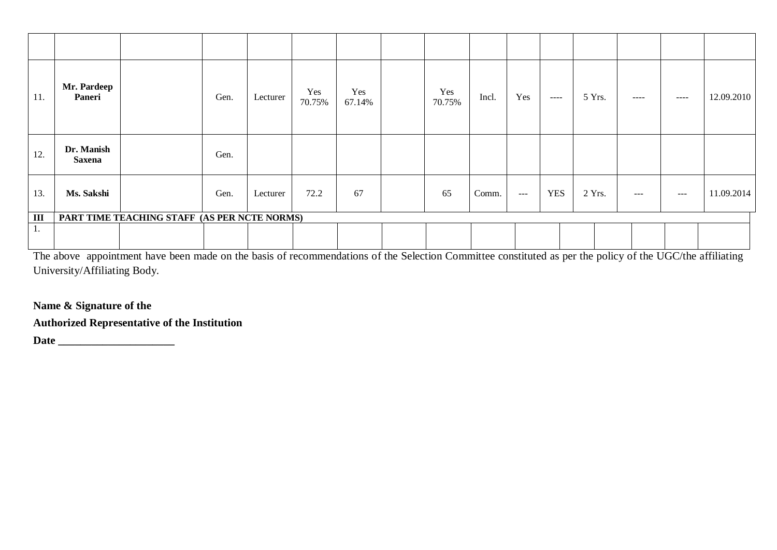| 11. | Mr. Pardeep<br>Paneri       |                                              | Gen. | Lecturer | Yes<br>70.75% | Yes<br>67.14% | Yes<br>70.75% | Incl. | Yes   | $\frac{1}{2}$ | 5 Yrs. | $- - - -$           | $---$         | 12.09.2010 |
|-----|-----------------------------|----------------------------------------------|------|----------|---------------|---------------|---------------|-------|-------|---------------|--------|---------------------|---------------|------------|
| 12. | Dr. Manish<br><b>Saxena</b> |                                              | Gen. |          |               |               |               |       |       |               |        |                     |               |            |
| 13. | Ms. Sakshi                  |                                              | Gen. | Lecturer | 72.2          | 67            | 65            | Comm. | $---$ | <b>YES</b>    | 2 Yrs. | $\qquad \qquad - -$ | $\frac{1}{2}$ | 11.09.2014 |
| III |                             | PART TIME TEACHING STAFF (AS PER NCTE NORMS) |      |          |               |               |               |       |       |               |        |                     |               |            |
| 1.  |                             |                                              |      |          |               |               |               |       |       |               |        |                     |               |            |

The above appointment have been made on the basis of recommendations of the Selection Committee constituted as per the policy of the UGC/the affiliating University/Affiliating Body.

**Name & Signature of the** 

**Authorized Representative of the Institution** 

**Date \_\_\_\_\_\_\_\_\_\_\_\_\_\_\_\_\_\_\_\_\_**